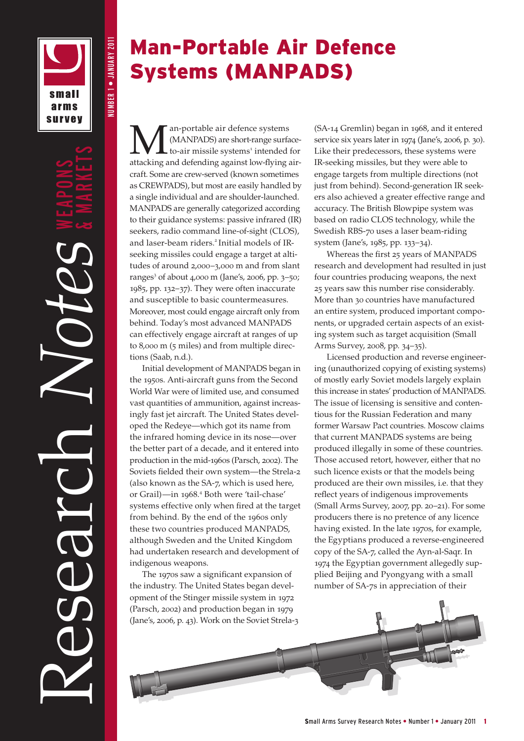

NUMBER 1 • JANUARY 2011

**NUMBER 1 ● JANUARY 2011** 

Research *Notes* & MARKETS

## Man -Portable Air Defence Systems (MANPADS)

an-portable air defence systems (MANPADS) are short-range surfaceto-air missile systems<sup>1</sup> intended for attacking and defending against low-flying air craft. Some are crew-served (known sometimes as CREWPADS), but most are easily handled by a single individual and are shoulder-launched. MANPADS are generally categorized according to their guidance systems: passive infrared (IR) seekers, radio command line-of-sight (CLOS), and laser-beam riders. <sup>2</sup> Initial models of IRseeking missiles could engage a target at alti tudes of around 2 ,000 – 3 ,000 m and from slant ranges 3 of about 4 ,000 m (Jane's, 2006, pp. 3 –50; 1985, pp. 132 –37). They were often inaccurate and susceptible to basic countermeasures. Moreover, most could engage aircraft only from behind. Today's most advanced MANPADS can effectively engage aircraft at ranges of up to 8,000 m (5 miles) and from multiple directions (Saab, n.d.).

Initial development of MANPADS began in the 1950s. Anti-aircraft guns from the Second World War were of limited use, and consumed vast quantities of ammunition, against increas ingly fast jet aircraft. The United States devel oped the Redeye—which got its name from the infrared homing device in its nose—over the better part of a decade, and it entered into production in the mid-1960s (Parsch, 2002). The Soviets fielded their own system—the Strela-2 (also known as the SA-7, which is used here, or Grail)—in 1968 . 4 Both were 'tail-chase' systems effective only when fired at the target from behind. By the end of the 1960s only these two countries produced MANPADS, although Sweden and the United Kingdom had undertaken research and development of indigenous weapons.

The 1970s saw a significant expansion of the industry. The United States began devel opment of the Stinger missile system in 1972 (Parsch, 2002) and production began in 1979 (Jane's, 2006, p. 43). Work on the Soviet Strela-3 (SA-14 Gremlin) began in 1968, and it entered service six years later in 1974 (Jane's, 2006, p. 30). Like their predecessors, these systems were IR-seeking missiles, but they were able to engage targets from multiple directions (not just from behind). Second-generation IR seekers also achieved a greater effective range and accuracy. The British Blowpipe system was based on radio CLOS technology, while the Swedish RBS-70 uses a laser beam-riding system (Jane's, 1985, pp. 133 –34).

Whereas the first 25 years of MANPADS research and development had resulted in just four countries producing weapons, the next 25 years saw this number rise considerably. More than 30 countries have manufactured an entire system, produced important compo nents, or upgraded certain aspects of an existing system such as target acquisition (Small Arms Survey, 2008, pp. 34 –35).

Licensed production and reverse engineer ing (unauthorized copying of existing systems) of mostly early Soviet models largely explain this increase in states' production of MANPADS. The issue of licensing is sensitive and conten tious for the Russian Federation and many former Warsaw Pact countries. Moscow claims that current MANPADS systems are being produced illegally in some of these countries. Those accused retort, however, either that no such licence exists or that the models being produced are their own missiles, i.e. that they reflect years of indigenous improvements (Small Arms Survey, 2007, pp. 20 –21). For some producers there is no pretence of any licence having existed. In the late 1970s, for example, the Egyptians produced a reverse-engineered copy of the SA-7, called the Ayn-al-Saqr. In 1974 the Egyptian government allegedly sup plied Beijing and Pyongyang with a small number of SA-7s in appreciation of their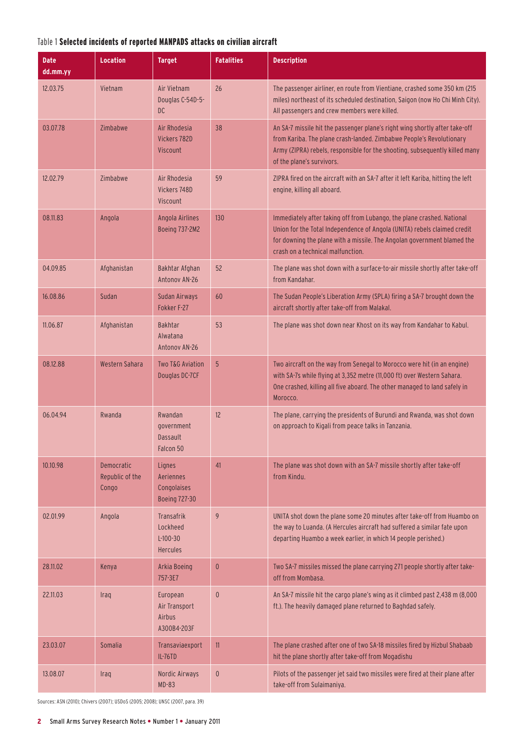### Table 1 Selected incidents of reported MANPADS attacks on civilian aircraft

| <b>Date</b><br>dd.mm.yy | <b>Location</b>                        | <b>Target</b>                                                  | <b>Fatalities</b> | <b>Description</b>                                                                                                                                                                                                                                                 |
|-------------------------|----------------------------------------|----------------------------------------------------------------|-------------------|--------------------------------------------------------------------------------------------------------------------------------------------------------------------------------------------------------------------------------------------------------------------|
| 12.03.75                | Vietnam                                | Air Vietnam<br>Douglas C-54D-5-<br><b>DC</b>                   | 26                | The passenger airliner, en route from Vientiane, crashed some 350 km (215<br>miles) northeast of its scheduled destination, Saigon (now Ho Chi Minh City).<br>All passengers and crew members were killed.                                                         |
| 03.07.78                | Zimbabwe                               | Air Rhodesia<br>Vickers 782D<br>Viscount                       | 38                | An SA-7 missile hit the passenger plane's right wing shortly after take-off<br>from Kariba. The plane crash-landed. Zimbabwe People's Revolutionary<br>Army (ZIPRA) rebels, responsible for the shooting, subsequently killed many<br>of the plane's survivors.    |
| 12.02.79                | Zimbabwe                               | Air Rhodesia<br>Vickers 748D<br>Viscount                       | 59                | ZIPRA fired on the aircraft with an SA-7 after it left Kariba, hitting the left<br>engine, killing all aboard.                                                                                                                                                     |
| 08.11.83                | Angola                                 | Angola Airlines<br>Boeing 737-2M2                              | 130               | Immediately after taking off from Lubango, the plane crashed. National<br>Union for the Total Independence of Angola (UNITA) rebels claimed credit<br>for downing the plane with a missile. The Angolan government blamed the<br>crash on a technical malfunction. |
| 04.09.85                | Afghanistan                            | Bakhtar Afghan<br>Antonov AN-26                                | 52                | The plane was shot down with a surface-to-air missile shortly after take-off<br>from Kandahar.                                                                                                                                                                     |
| 16.08.86                | Sudan                                  | Sudan Airways<br>Fokker F-27                                   | 60                | The Sudan People's Liberation Army (SPLA) firing a SA-7 brought down the<br>aircraft shortly after take-off from Malakal.                                                                                                                                          |
| 11.06.87                | Afghanistan                            | <b>Bakhtar</b><br>Alwatana<br>Antonov AN-26                    | 53                | The plane was shot down near Khost on its way from Kandahar to Kabul.                                                                                                                                                                                              |
| 08.12.88                | Western Sahara                         | Two T&G Aviation<br>Douglas DC-7CF                             | 5                 | Two aircraft on the way from Senegal to Morocco were hit (in an engine)<br>with SA-7s while flying at 3,352 metre (11,000 ft) over Western Sahara.<br>One crashed, killing all five aboard. The other managed to land safely in<br>Morocco.                        |
| 06.04.94                | Rwanda                                 | Rwandan<br>government<br><b>Dassault</b><br>Falcon 50          | 12                | The plane, carrying the presidents of Burundi and Rwanda, was shot down<br>on approach to Kigali from peace talks in Tanzania.                                                                                                                                     |
| 10.10.98                | Democratic<br>Republic of the<br>Congo | Lignes<br>Aeriennes<br>Congolaises<br><b>Boeing 727-30</b>     | 41                | The plane was shot down with an SA-7 missile shortly after take-off<br>from Kindu.                                                                                                                                                                                 |
| 02.01.99                | Angola                                 | <b>Transafrik</b><br>Lockheed<br>$L-100-30$<br><b>Hercules</b> | 9                 | UNITA shot down the plane some 20 minutes after take-off from Huambo on<br>the way to Luanda. (A Hercules aircraft had suffered a similar fate upon<br>departing Huambo a week earlier, in which 14 people perished.)                                              |
| 28.11.02                | Kenya                                  | Arkia Boeing<br>757-3E7                                        | $\mathbf{0}$      | Two SA-7 missiles missed the plane carrying 271 people shortly after take-<br>off from Mombasa.                                                                                                                                                                    |
| 22.11.03                | Iraq                                   | European<br>Air Transport<br>Airbus<br>A300B4-203F             | $\mathbf{0}$      | An SA-7 missile hit the cargo plane's wing as it climbed past 2,438 m (8,000<br>ft.). The heavily damaged plane returned to Baghdad safely.                                                                                                                        |
| 23.03.07                | Somalia                                | Transaviaexport<br><b>IL-76TD</b>                              | 11                | The plane crashed after one of two SA-18 missiles fired by Hizbul Shabaab<br>hit the plane shortly after take-off from Mogadishu                                                                                                                                   |
| 13.08.07                | Iraq                                   | Nordic Airways<br>$MD-83$                                      | $\theta$          | Pilots of the passenger jet said two missiles were fired at their plane after<br>take-off from Sulaimaniya.                                                                                                                                                        |

Sources: ASN (2010); Chivers (2007); USDoS (2005; 2008); UNSC (2007, para. 39)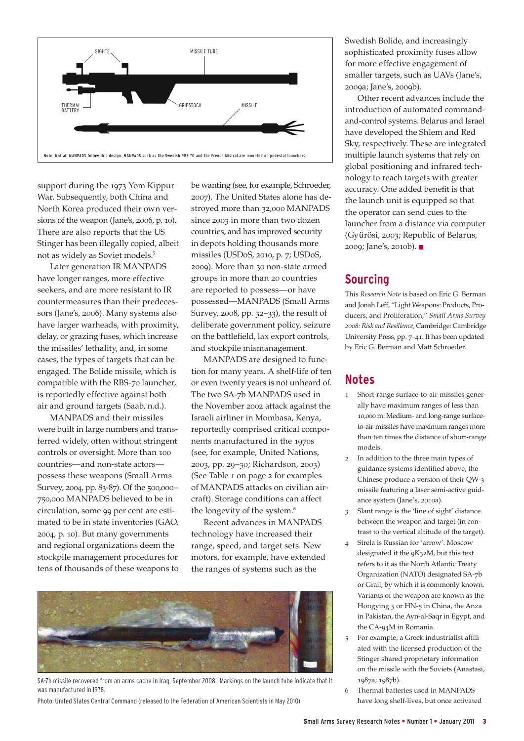

support during the 1973 Yom Kippur War. Subsequently, both China and North Korea produced their own versions of the weapon (Jane's, 2006, p. 10). There are also reports that the US Stinger has been illegally copied, albeit not as widely as Soviet models.<sup>5</sup>

Later generation IR MANPADS have longer ranges, more effective seekers, and are more resistant to IR countermeasures than their predecessors (Jane's, 2006). Many systems also have larger warheads, with proximity, delay, or grazing fuses, which increase the missiles' lethality, and, in some cases, the types of targets that can be engaged. The Bolide missile, which is compatible with the RBS-70 launcher, is reportedly effective against both air and ground targets (Saab, n.d.).

MANPADS and their missiles were built in large numbers and transferred widely, often without stringent controls or oversight. More than 100 countries—and non-state actors possess these weapons (Small Arms Survey, 2004, pp. 83-87). Of the 500,000– 750,000 MANPADS believed to be in circulation, some 99 per cent are estimated to be in state inventories (GAO, 2004, p. 10). But many governments and regional organizations deem the stockpile management procedures for tens of thousands of these weapons to

be wanting (see, for example, Schroeder, 2007). The United States alone has destroyed more than 32,000 MANPADS since 2003 in more than two dozen countries, and has improved security in depots holding thousands more missiles (USDoS, 2010, p. 7; USDoS, 2009). More than 30 non-state armed groups in more than 20 countries are reported to possess—or have possessed—MANPADS (Small Arms Survey, 2008, pp. 32–33), the result of deliberate government policy, seizure on the battlefield, lax export controls, and stockpile mismanagement.

MANPADS are designed to function for many years. A shelf-life of ten or even twenty years is not unheard of. The two SA-7b MANPADS used in the November 2002 attack against the Israeli airliner in Mombasa, Kenya, reportedly comprised critical components manufactured in the 1970s (see, for example, United Nations, 2003, pp. 29–30; Richardson, 2003) (See Table 1 on page 2 for examples of MANPADS attacks on civilian aircraft). Storage conditions can affect the longevity of the system.<sup>6</sup>

Recent advances in MANPADS technology have increased their range, speed, and target sets. New motors, for example, have extended the ranges of systems such as the



SA-7b missile recovered from an arms cache in Iraq, September 2008. Markings on the launch tube indicate that it was manufactured in 1978.

Photo: United States Central Command (released to the Federation of American Scientists in May 2010)

Swedish Bolide, and increasingly sophisticated proximity fuses allow for more effective engagement of smaller targets, such as UAVs (Jane's, 2009a; Jane's, 2009b).

Other recent advances include the introduction of automated commandand-control systems. Belarus and Israel have developed the Shlem and Red Sky, respectively. These are integrated multiple launch systems that rely on global positioning and infrared technology to reach targets with greater accuracy. One added benefit is that the launch unit is equipped so that the operator can send cues to the launcher from a distance via computer (Gyürösi, 2003; Republic of Belarus, 2009; Jane's, 2010b).

#### **Sourcing**

This *Research Note* is based on Eric G. Berman and Jonah Leff, "Light Weapons: Products, Producers, and Proliferation," *Small Arms Survey 2008: Risk and Resilience,* Cambridge: Cambridge University Press, pp. 7–41. It has been updated by Eric G. Berman and Matt Schroeder.

#### **Notes**

- 1 Short-range surface-to-air-missiles generally have maximum ranges of less than 10,000 m. Medium- and long-range surfaceto-air-missiles have maximum ranges more than ten times the distance of short-range models.
- 2 In addition to the three main types of guidance systems identified above, the Chinese produce a version of their QW-3 missile featuring a laser semi-active guidance system (Jane's, 2010a).
- 3 Slant range is the 'line of sight' distance between the weapon and target (in contrast to the vertical altitude of the target).
- 4 Strela is Russian for 'arrow'. Moscow designated it the 9K32M, but this text refers to it as the North Atlantic Treaty Organization (NATO) designated SA-7b or Grail, by which it is commonly known. Variants of the weapon are known as the Hongying 5 or HN-5 in China, the Anza in Pakistan, the Ayn-al-Saqr in Egypt, and the CA-94M in Romania.
- 5 For example, a Greek industrialist affiliated with the licensed production of the Stinger shared proprietary information on the missile with the Soviets (Anastasi, 1987a; 1987b).
- 6 Thermal batteries used in MANPADS have long shelf-lives, but once activated